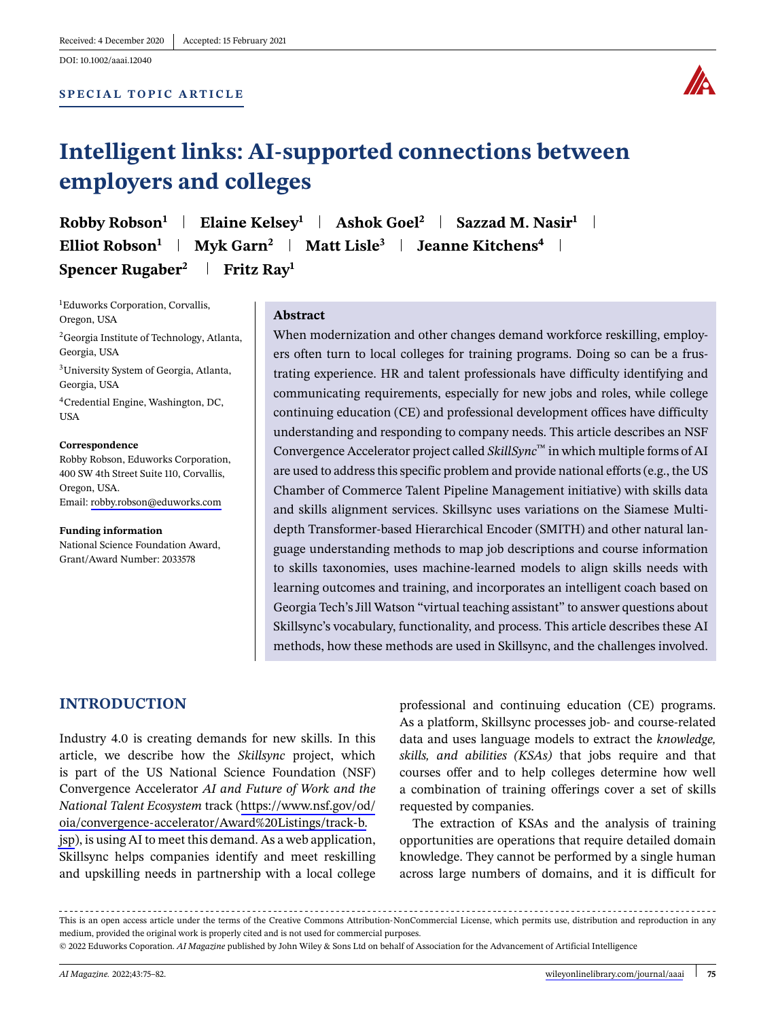#### **SPECIAL TOPIC ARTICLE SPECIAL TOPIC ARTICLE**



# **IT**<br>**Intelligent links:** And colleges **employers and colleges**

**Robby Robson1 Elaine Kelsey<sup>1</sup> Ashok Goel2 Sazzad M. Nasir<sup>1</sup> ELIIOT ROBSON Myk Garn Matt Lisle** 3 **Jeanne Kitchens Spencer Rugaber<sup>2</sup> | Fritz Ray<sup>1</sup>** 

1 Eduworks Corporation, Corvallis, Oregon, USA

<sup>2</sup>Georgia Institute of Technology, Atlanta, Georgia, USA

3University System of Georgia, Atlanta, Georgia, USA

4Credential Engine, Washington, DC, USA

**Robby Robson, Eduworks Corporation,** 400 SW 4th Street Suite 110, Corvallis, Oregon, USA. Email: [robby.robson@eduworks.com](mailto:robby.robson@eduworks.com)

**Funding information** National Science Foundation Award, Grant/Award Number: 2033578

### **Abstract**

When modernization and other changes demand workforce reskilling, employers often turn to local colleges for training programs. Doing so can be a frustrating experience. HR and talent professionals have difficulty identifying and communicating requirements, especially for new jobs and roles, while college continuing education (CE) and professional development offices have difficulty understanding and responding to company needs. This article describes an NSF Convergence Accelerator project called *SkillSync*™ in which multiple forms of AI are used to address this specific problem and provide national efforts (e.g., the US Chamber of Commerce Talent Pipeline Management initiative) with skills data and skills alignment services. Skillsync uses variations on the Siamese Multidepth Transformer-based Hierarchical Encoder (SMITH) and other natural language understanding methods to map job descriptions and course information to skills taxonomies, uses machine-learned models to align skills needs with learning outcomes and training, and incorporates an intelligent coach based on Georgia Tech's Jill Watson "virtual teaching assistant" to answer questions about Skillsync's vocabulary, functionality, and process. This article describes these AI methods, how these methods are used in Skillsync, and the challenges involved.

### **INTRODUCTION**

Industry 4.0 is creating demands for new skills. In this article, we describe how the *Skillsync* project, which is part of the US National Science Foundation (NSF) Convergence Accelerator *AI and Future of Work and the National Talent Ecosystem* track ([https://www.nsf.gov/od/](https://www.nsf.gov/od/oia/convergence-accelerator/Award%20Listings/track-b.jsp) [oia/convergence-accelerator/Award%20Listings/track-b.](https://www.nsf.gov/od/oia/convergence-accelerator/Award%20Listings/track-b.jsp) [jsp](https://www.nsf.gov/od/oia/convergence-accelerator/Award%20Listings/track-b.jsp)), is using AI to meet this demand. As a web application, Skillsync helps companies identify and meet reskilling and upskilling needs in partnership with a local college

professional and continuing education (CE) programs. As a platform, Skillsync processes job- and course-related data and uses language models to extract the *knowledge, skills, and abilities (KSAs)* that jobs require and that courses offer and to help colleges determine how well a combination of training offerings cover a set of skills requested by companies.

The extraction of KSAs and the analysis of training opportunities are operations that require detailed domain knowledge. They cannot be performed by a single human across large numbers of domains, and it is difficult for

This is an open access article under the terms of the Creative Commons Attribution-NonCommercial License, which permits use, distribution and reproduction in any medium, provided the original work is properly cited and is not used for commercial purposes.

<sup>© 2022</sup> Eduworks Coporation. *AI Magazine* published by John Wiley & Sons Ltd on behalf of Association for the Advancement of Artificial Intelligence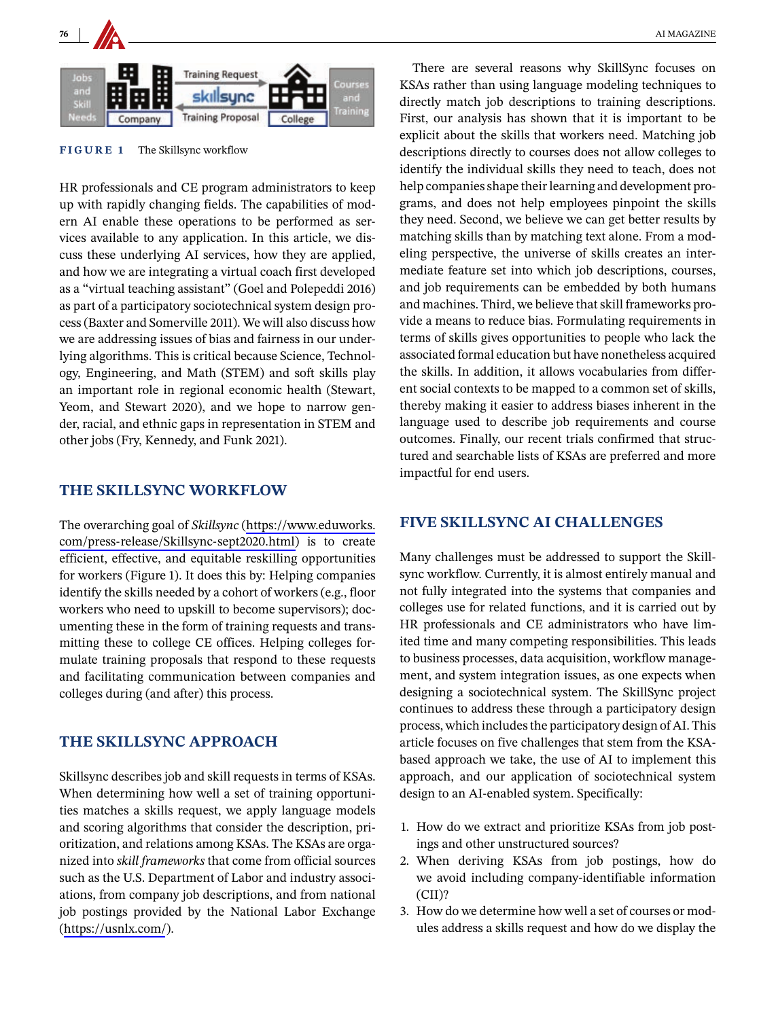

**FIGURE 1** The Skillsync workflow

HR professionals and CE program administrators to keep up with rapidly changing fields. The capabilities of modern AI enable these operations to be performed as services available to any application. In this article, we discuss these underlying AI services, how they are applied, and how we are integrating a virtual coach first developed as a "virtual teaching assistant" (Goel and Polepeddi 2016) as part of a participatory sociotechnical system design process (Baxter and Somerville 2011). We will also discuss how we are addressing issues of bias and fairness in our underlying algorithms. This is critical because Science, Technology, Engineering, and Math (STEM) and soft skills play an important role in regional economic health (Stewart, Yeom, and Stewart 2020), and we hope to narrow gender, racial, and ethnic gaps in representation in STEM and other jobs (Fry, Kennedy, and Funk 2021).

### THE SKILLSYNC WORKFLOW **THE SKILLSYNC WORKFLOW**

The overarching goal of *Skillsync* ([https://www.eduworks.](https://www.eduworks.com/press-release/Skillsync-sept2020.html) [com/press-release/Skillsync-sept2020.html\)](https://www.eduworks.com/press-release/Skillsync-sept2020.html) is to create efficient, effective, and equitable reskilling opportunities for workers (Figure 1). It does this by: Helping companies identify the skills needed by a cohort of workers (e.g., floor workers who need to upskill to become supervisors); documenting these in the form of training requests and transmitting these to college CE offices. Helping colleges formulate training proposals that respond to these requests and facilitating communication between companies and colleges during (and after) this process.

## **THE SKILLSYNC APPROACH**

Skillsync describes job and skill requests in terms of KSAs. When determining how well a set of training opportunities matches a skills request, we apply language models and scoring algorithms that consider the description, prioritization, and relations among KSAs. The KSAs are organized into *skill frameworks* that come from official sources such as the U.S. Department of Labor and industry associations, from company job descriptions, and from national job postings provided by the National Labor Exchange (<https://usnlx.com/>).

There are several reasons why SkillSync focuses on KSAs rather than using language modeling techniques to directly match job descriptions to training descriptions. First, our analysis has shown that it is important to be explicit about the skills that workers need. Matching job descriptions directly to courses does not allow colleges to identify the individual skills they need to teach, does not help companies shape their learning and development programs, and does not help employees pinpoint the skills they need. Second, we believe we can get better results by matching skills than by matching text alone. From a modeling perspective, the universe of skills creates an intermediate feature set into which job descriptions, courses, and job requirements can be embedded by both humans and machines. Third, we believe that skill frameworks provide a means to reduce bias. Formulating requirements in terms of skills gives opportunities to people who lack the associated formal education but have nonetheless acquired the skills. In addition, it allows vocabularies from different social contexts to be mapped to a common set of skills, thereby making it easier to address biases inherent in the language used to describe job requirements and course outcomes. Finally, our recent trials confirmed that structured and searchable lists of KSAs are preferred and more impactful for end users.

### **FIVE SKILLSYNC AI CHALLENGES**

Many challenges must be addressed to support the Skillsync workflow. Currently, it is almost entirely manual and not fully integrated into the systems that companies and colleges use for related functions, and it is carried out by HR professionals and CE administrators who have limited time and many competing responsibilities. This leads to business processes, data acquisition, workflow management, and system integration issues, as one expects when designing a sociotechnical system. The SkillSync project continues to address these through a participatory design process, which includes the participatory design of AI. This article focuses on five challenges that stem from the KSAbased approach we take, the use of AI to implement this approach, and our application of sociotechnical system design to an AI-enabled system. Specifically:

- 1. How do we extract and prioritize KSAs from job postings and other unstructured sources?
- 2. When deriving KSAs from job postings, how do we avoid including company-identifiable information  $(CII)?$
- 3. How do we determine how well a set of courses or modules address a skills request and how do we display the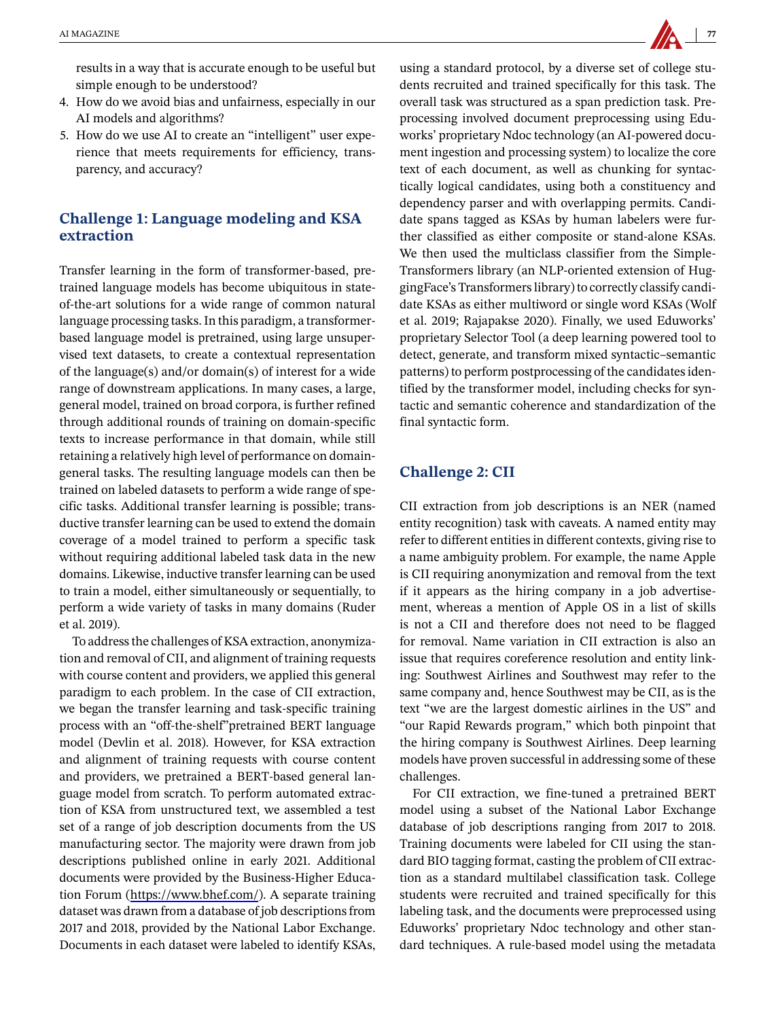results in a way that is accurate enough to be useful but simple enough to be understood?

- 4. How do we avoid bias and unfairness, especially in our AI models and algorithms?
- 5. How do we use AI to create an "intelligent" user experience that meets requirements for efficiency, transparency, and accuracy?

# **Challenge 1: Language modeling and KSA**

Transfer learning in the form of transformer-based, pretrained language models has become ubiquitous in stateof-the-art solutions for a wide range of common natural language processing tasks. In this paradigm, a transformerbased language model is pretrained, using large unsupervised text datasets, to create a contextual representation of the language(s) and/or domain(s) of interest for a wide range of downstream applications. In many cases, a large, general model, trained on broad corpora, is further refined through additional rounds of training on domain-specific texts to increase performance in that domain, while still retaining a relatively high level of performance on domaingeneral tasks. The resulting language models can then be trained on labeled datasets to perform a wide range of specific tasks. Additional transfer learning is possible; transductive transfer learning can be used to extend the domain coverage of a model trained to perform a specific task without requiring additional labeled task data in the new domains. Likewise, inductive transfer learning can be used to train a model, either simultaneously or sequentially, to perform a wide variety of tasks in many domains (Ruder et al. 2019).

To address the challenges of KSA extraction, anonymization and removal of CII, and alignment of training requests with course content and providers, we applied this general paradigm to each problem. In the case of CII extraction, we began the transfer learning and task-specific training process with an "off-the-shelf"pretrained BERT language model (Devlin et al. 2018). However, for KSA extraction and alignment of training requests with course content and providers, we pretrained a BERT-based general language model from scratch. To perform automated extraction of KSA from unstructured text, we assembled a test set of a range of job description documents from the US manufacturing sector. The majority were drawn from job descriptions published online in early 2021. Additional documents were provided by the Business-Higher Education Forum (<https://www.bhef.com/>). A separate training dataset was drawn from a database of job descriptions from 2017 and 2018, provided by the National Labor Exchange. Documents in each dataset were labeled to identify KSAs,

using a standard protocol, by a diverse set of college students recruited and trained specifically for this task. The overall task was structured as a span prediction task. Preprocessing involved document preprocessing using Eduworks' proprietary Ndoc technology (an AI-powered document ingestion and processing system) to localize the core text of each document, as well as chunking for syntactically logical candidates, using both a constituency and dependency parser and with overlapping permits. Candidate spans tagged as KSAs by human labelers were further classified as either composite or stand-alone KSAs. We then used the multiclass classifier from the Simple-Transformers library (an NLP-oriented extension of HuggingFace's Transformers library) to correctly classify candidate KSAs as either multiword or single word KSAs (Wolf et al. 2019; Rajapakse 2020). Finally, we used Eduworks' proprietary Selector Tool (a deep learning powered tool to detect, generate, and transform mixed syntactic–semantic patterns) to perform postprocessing of the candidates identified by the transformer model, including checks for syntactic and semantic coherence and standardization of the final syntactic form.

### **Challenge 2: CII**

CII extraction from job descriptions is an NER (named entity recognition) task with caveats. A named entity may refer to different entities in different contexts, giving rise to a name ambiguity problem. For example, the name Apple is CII requiring anonymization and removal from the text if it appears as the hiring company in a job advertisement, whereas a mention of Apple OS in a list of skills is not a CII and therefore does not need to be flagged for removal. Name variation in CII extraction is also an issue that requires coreference resolution and entity linking: Southwest Airlines and Southwest may refer to the same company and, hence Southwest may be CII, as is the text "we are the largest domestic airlines in the US" and "our Rapid Rewards program," which both pinpoint that the hiring company is Southwest Airlines. Deep learning models have proven successful in addressing some of these challenges.

For CII extraction, we fine-tuned a pretrained BERT model using a subset of the National Labor Exchange database of job descriptions ranging from 2017 to 2018. Training documents were labeled for CII using the standard BIO tagging format, casting the problem of CII extraction as a standard multilabel classification task. College students were recruited and trained specifically for this labeling task, and the documents were preprocessed using Eduworks' proprietary Ndoc technology and other standard techniques. A rule-based model using the metadata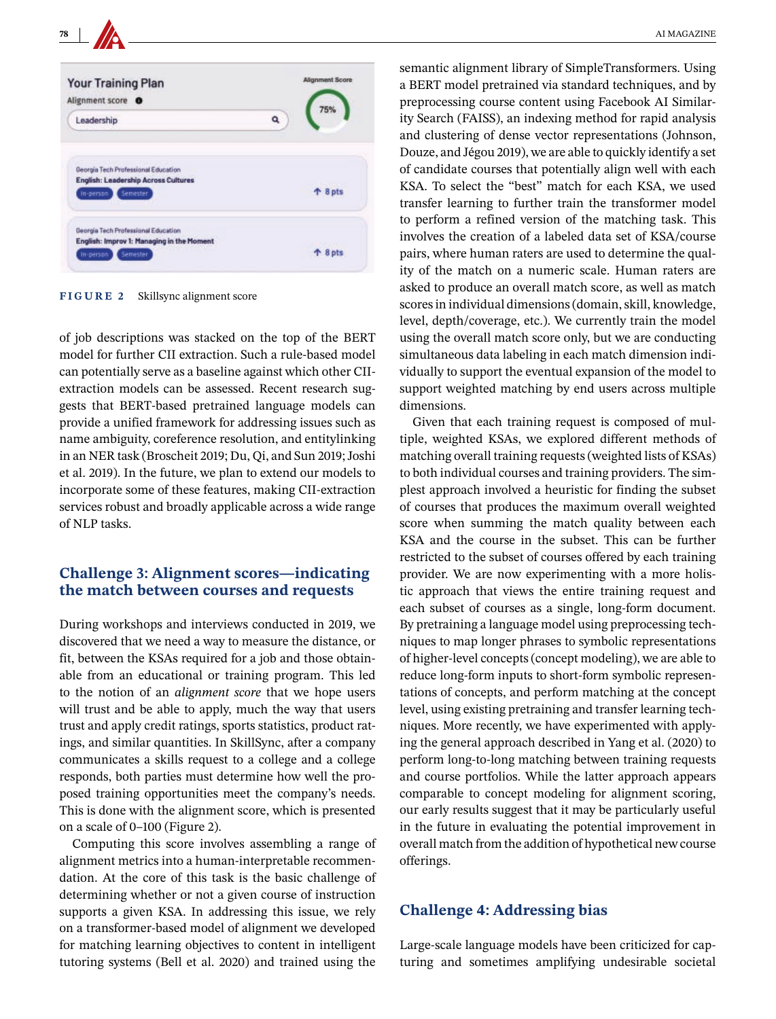

**FIGURE 2** Skillsync alignment score

of job descriptions was stacked on the top of the BERT model for further CII extraction. Such a rule-based model can potentially serve as a baseline against which other CIIextraction models can be assessed. Recent research suggests that BERT-based pretrained language models can provide a unified framework for addressing issues such as name ambiguity, coreference resolution, and entitylinking in an NER task (Broscheit 2019; Du, Qi, and Sun 2019; Joshi et al. 2019). In the future, we plan to extend our models to incorporate some of these features, making CII-extraction services robust and broadly applicable across a wide range of NLP tasks.

### the match between courses and requests **the match between courses and requests**

During workshops and interviews conducted in 2019, we discovered that we need a way to measure the distance, or fit, between the KSAs required for a job and those obtainable from an educational or training program. This led to the notion of an *alignment score* that we hope users will trust and be able to apply, much the way that users trust and apply credit ratings, sports statistics, product ratings, and similar quantities. In SkillSync, after a company communicates a skills request to a college and a college responds, both parties must determine how well the proposed training opportunities meet the company's needs. This is done with the alignment score, which is presented on a scale of 0–100 (Figure 2).

Computing this score involves assembling a range of alignment metrics into a human-interpretable recommendation. At the core of this task is the basic challenge of determining whether or not a given course of instruction supports a given KSA. In addressing this issue, we rely on a transformer-based model of alignment we developed for matching learning objectives to content in intelligent tutoring systems (Bell et al. 2020) and trained using the

semantic alignment library of SimpleTransformers. Using a BERT model pretrained via standard techniques, and by preprocessing course content using Facebook AI Similarity Search (FAISS), an indexing method for rapid analysis and clustering of dense vector representations (Johnson, Douze, and Jégou 2019), we are able to quickly identify a set of candidate courses that potentially align well with each KSA. To select the "best" match for each KSA, we used transfer learning to further train the transformer model to perform a refined version of the matching task. This involves the creation of a labeled data set of KSA/course pairs, where human raters are used to determine the quality of the match on a numeric scale. Human raters are asked to produce an overall match score, as well as match scores in individual dimensions (domain, skill, knowledge, level, depth/coverage, etc.). We currently train the model using the overall match score only, but we are conducting simultaneous data labeling in each match dimension individually to support the eventual expansion of the model to support weighted matching by end users across multiple dimensions.

Given that each training request is composed of multiple, weighted KSAs, we explored different methods of matching overall training requests (weighted lists of KSAs) to both individual courses and training providers. The simplest approach involved a heuristic for finding the subset of courses that produces the maximum overall weighted score when summing the match quality between each KSA and the course in the subset. This can be further restricted to the subset of courses offered by each training provider. We are now experimenting with a more holistic approach that views the entire training request and each subset of courses as a single, long-form document. By pretraining a language model using preprocessing techniques to map longer phrases to symbolic representations of higher-level concepts (concept modeling), we are able to reduce long-form inputs to short-form symbolic representations of concepts, and perform matching at the concept level, using existing pretraining and transfer learning techniques. More recently, we have experimented with applying the general approach described in Yang et al. (2020) to perform long-to-long matching between training requests and course portfolios. While the latter approach appears comparable to concept modeling for alignment scoring, our early results suggest that it may be particularly useful in the future in evaluating the potential improvement in overall match from the addition of hypothetical new course offerings.

### **Challenge 4: Addressing bias**

Large-scale language models have been criticized for capturing and sometimes amplifying undesirable societal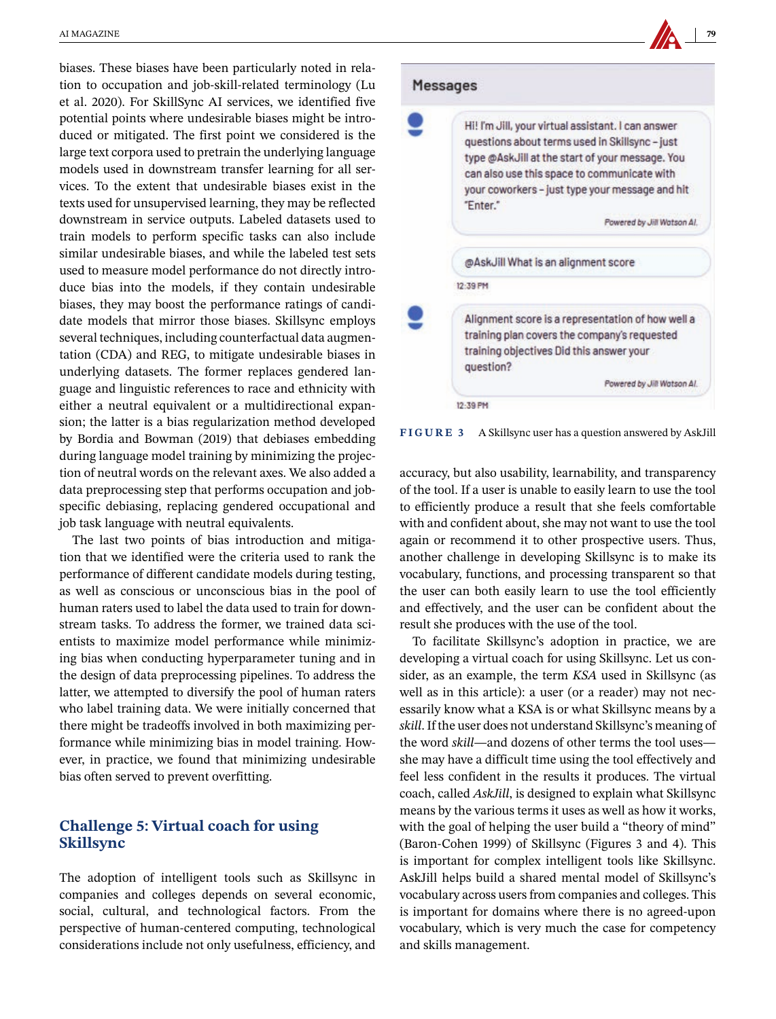biases. These biases have been particularly noted in relation to occupation and job-skill-related terminology (Lu et al. 2020). For SkillSync AI services, we identified five potential points where undesirable biases might be introduced or mitigated. The first point we considered is the large text corpora used to pretrain the underlying language models used in downstream transfer learning for all services. To the extent that undesirable biases exist in the texts used for unsupervised learning, they may be reflected downstream in service outputs. Labeled datasets used to train models to perform specific tasks can also include similar undesirable biases, and while the labeled test sets used to measure model performance do not directly introduce bias into the models, if they contain undesirable biases, they may boost the performance ratings of candidate models that mirror those biases. Skillsync employs several techniques, including counterfactual data augmentation (CDA) and REG, to mitigate undesirable biases in underlying datasets. The former replaces gendered language and linguistic references to race and ethnicity with either a neutral equivalent or a multidirectional expansion; the latter is a bias regularization method developed by Bordia and Bowman (2019) that debiases embedding during language model training by minimizing the projection of neutral words on the relevant axes. We also added a data preprocessing step that performs occupation and jobspecific debiasing, replacing gendered occupational and job task language with neutral equivalents.

The last two points of bias introduction and mitigation that we identified were the criteria used to rank the performance of different candidate models during testing, as well as conscious or unconscious bias in the pool of human raters used to label the data used to train for downstream tasks. To address the former, we trained data scientists to maximize model performance while minimizing bias when conducting hyperparameter tuning and in the design of data preprocessing pipelines. To address the latter, we attempted to diversify the pool of human raters who label training data. We were initially concerned that there might be tradeoffs involved in both maximizing performance while minimizing bias in model training. However, in practice, we found that minimizing undesirable bias often served to prevent overfitting.

### **Challenge 5: Virtual coach for using Skillsync**

The adoption of intelligent tools such as Skillsync in companies and colleges depends on several economic, social, cultural, and technological factors. From the perspective of human-centered computing, technological considerations include not only usefulness, efficiency, and

### Messages



**FIGURE 3** A Skillsync user has a question answered by AskJill

accuracy, but also usability, learnability, and transparency of the tool. If a user is unable to easily learn to use the tool to efficiently produce a result that she feels comfortable with and confident about, she may not want to use the tool again or recommend it to other prospective users. Thus, another challenge in developing Skillsync is to make its vocabulary, functions, and processing transparent so that the user can both easily learn to use the tool efficiently and effectively, and the user can be confident about the result she produces with the use of the tool.

To facilitate Skillsync's adoption in practice, we are developing a virtual coach for using Skillsync. Let us consider, as an example, the term *KSA* used in Skillsync (as well as in this article): a user (or a reader) may not necessarily know what a KSA is or what Skillsync means by a *skill*. If the user does not understand Skillsync's meaning of the word *skill—*and dozens of other terms the tool uses she may have a difficult time using the tool effectively and feel less confident in the results it produces. The virtual coach, called *AskJill*, is designed to explain what Skillsync means by the various terms it uses as well as how it works, with the goal of helping the user build a "theory of mind" (Baron-Cohen 1999) of Skillsync (Figures 3 and 4). This is important for complex intelligent tools like Skillsync. AskJill helps build a shared mental model of Skillsync's vocabulary across users from companies and colleges. This is important for domains where there is no agreed-upon vocabulary, which is very much the case for competency and skills management.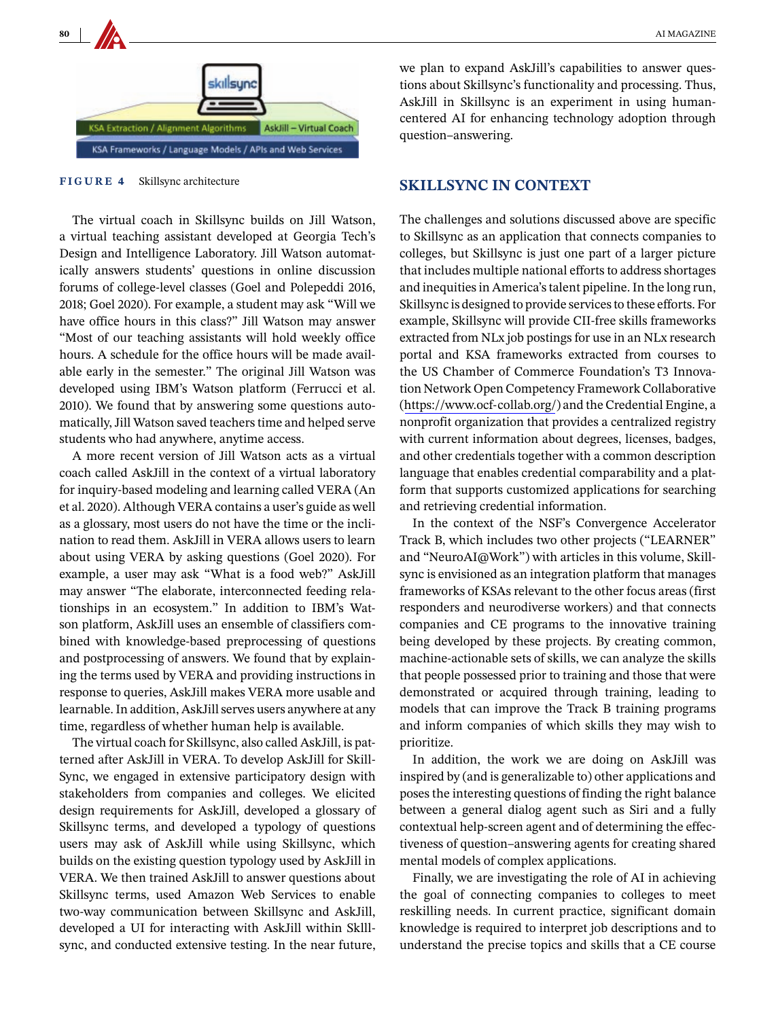

**FIGURE 4** Skillsync architecture

The virtual coach in Skillsync builds on Jill Watson, a virtual teaching assistant developed at Georgia Tech's Design and Intelligence Laboratory. Jill Watson automatically answers students' questions in online discussion forums of college-level classes (Goel and Polepeddi 2016, 2018; Goel 2020). For example, a student may ask "Will we have office hours in this class?" Jill Watson may answer "Most of our teaching assistants will hold weekly office hours. A schedule for the office hours will be made available early in the semester." The original Jill Watson was developed using IBM's Watson platform (Ferrucci et al. 2010). We found that by answering some questions automatically, Jill Watson saved teachers time and helped serve students who had anywhere, anytime access.

A more recent version of Jill Watson acts as a virtual coach called AskJill in the context of a virtual laboratory for inquiry-based modeling and learning called VERA (An et al. 2020). Although VERA contains a user's guide as well as a glossary, most users do not have the time or the inclination to read them. AskJill in VERA allows users to learn about using VERA by asking questions (Goel 2020). For example, a user may ask "What is a food web?" AskJill may answer "The elaborate, interconnected feeding relationships in an ecosystem." In addition to IBM's Watson platform, AskJill uses an ensemble of classifiers combined with knowledge-based preprocessing of questions and postprocessing of answers. We found that by explaining the terms used by VERA and providing instructions in response to queries, AskJill makes VERA more usable and learnable. In addition, AskJill serves users anywhere at any time, regardless of whether human help is available.

The virtual coach for Skillsync, also called AskJill, is patterned after AskJill in VERA. To develop AskJill for Skill-Sync, we engaged in extensive participatory design with stakeholders from companies and colleges. We elicited design requirements for AskJill, developed a glossary of Skillsync terms, and developed a typology of questions users may ask of AskJill while using Skillsync, which builds on the existing question typology used by AskJill in VERA. We then trained AskJill to answer questions about Skillsync terms, used Amazon Web Services to enable two-way communication between Skillsync and AskJill, developed a UI for interacting with AskJill within Sklllsync, and conducted extensive testing. In the near future,

we plan to expand AskJill's capabilities to answer questions about Skillsync's functionality and processing. Thus, AskJill in Skillsync is an experiment in using humancentered AI for enhancing technology adoption through question–answering.

### **SKILLSYNC IN CONTEXT**

The challenges and solutions discussed above are specific to Skillsync as an application that connects companies to colleges, but Skillsync is just one part of a larger picture that includes multiple national efforts to address shortages and inequities in America's talent pipeline. In the long run, Skillsync is designed to provide services to these efforts. For example, Skillsync will provide CII-free skills frameworks extracted from NLx job postings for use in an NLx research portal and KSA frameworks extracted from courses to the US Chamber of Commerce Foundation's T3 Innovation Network Open Competency Framework Collaborative (<https://www.ocf-collab.org/>) and the Credential Engine, a nonprofit organization that provides a centralized registry with current information about degrees, licenses, badges, and other credentials together with a common description language that enables credential comparability and a platform that supports customized applications for searching and retrieving credential information.

In the context of the NSF's Convergence Accelerator Track B, which includes two other projects ("LEARNER" and "NeuroAI@Work") with articles in this volume, Skillsync is envisioned as an integration platform that manages frameworks of KSAs relevant to the other focus areas (first responders and neurodiverse workers) and that connects companies and CE programs to the innovative training being developed by these projects. By creating common, machine-actionable sets of skills, we can analyze the skills that people possessed prior to training and those that were demonstrated or acquired through training, leading to models that can improve the Track B training programs and inform companies of which skills they may wish to prioritize.

In addition, the work we are doing on AskJill was inspired by (and is generalizable to) other applications and poses the interesting questions of finding the right balance between a general dialog agent such as Siri and a fully contextual help-screen agent and of determining the effectiveness of question–answering agents for creating shared mental models of complex applications.

Finally, we are investigating the role of AI in achieving the goal of connecting companies to colleges to meet reskilling needs. In current practice, significant domain knowledge is required to interpret job descriptions and to understand the precise topics and skills that a CE course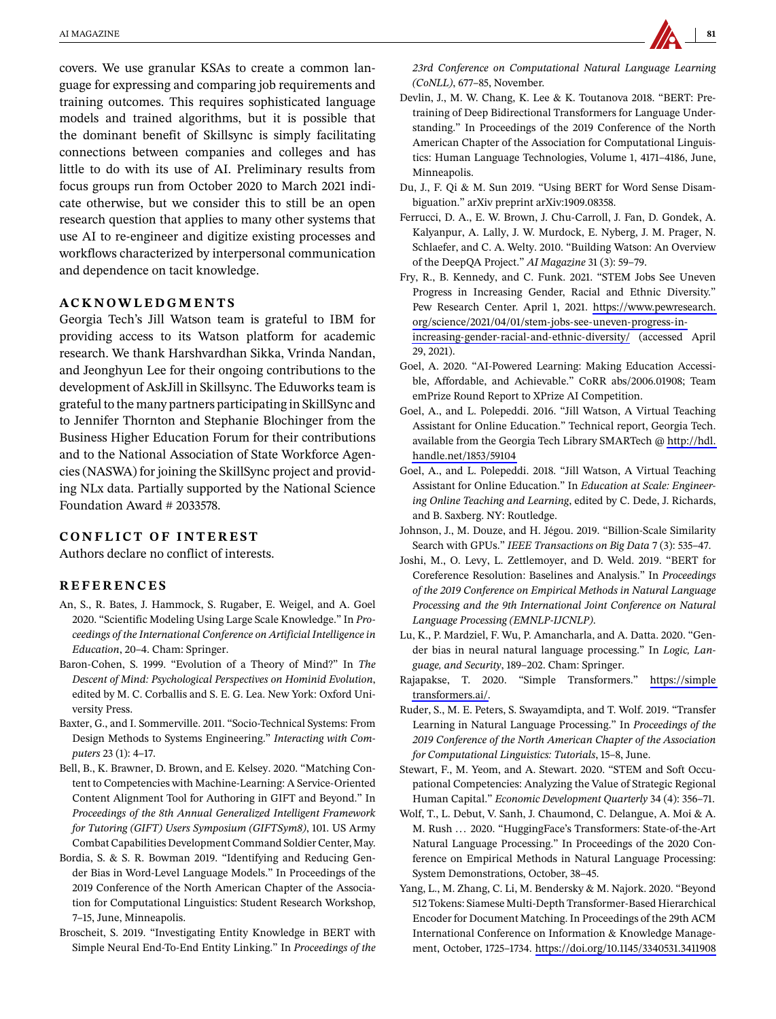covers. We use granular KSAs to create a common language for expressing and comparing job requirements and training outcomes. This requires sophisticated language models and trained algorithms, but it is possible that the dominant benefit of Skillsync is simply facilitating connections between companies and colleges and has little to do with its use of AI. Preliminary results from focus groups run from October 2020 to March 2021 indicate otherwise, but we consider this to still be an open research question that applies to many other systems that use AI to re-engineer and digitize existing processes and workflows characterized by interpersonal communication and dependence on tacit knowledge.

### **ACKNOWLEDGMENTS**

Georgia Tech's Jill Watson team is grateful to IBM for providing access to its Watson platform for academic research. We thank Harshvardhan Sikka, Vrinda Nandan, and Jeonghyun Lee for their ongoing contributions to the development of AskJill in Skillsync. The Eduworks team is grateful to the many partners participating in SkillSync and to Jennifer Thornton and Stephanie Blochinger from the Business Higher Education Forum for their contributions and to the National Association of State Workforce Agencies (NASWA) for joining the SkillSync project and providing NLx data. Partially supported by the National Science Foundation Award # 2033578.

### **CONFLICT OF INTEREST**

Authors declare no conflict of interests.

### **REFERENCES**

- **REFERENCES** An, S., R. Bates, J. Hammock, S. Rugaber, E. Weigel, and A. Goel 2020. "Scientific Modeling Using Large Scale Knowledge." In *Proceedings of the International Conference on Artificial Intelligence in Education*, 20–4. Cham: Springer.
- Baron-Cohen, S. 1999. "Evolution of a Theory of Mind?" In *The Descent of Mind: Psychological Perspectives on Hominid Evolution*, edited by M. C. Corballis and S. E. G. Lea. New York: Oxford University Press.
- Baxter, G., and I. Sommerville. 2011. "Socio-Technical Systems: From Design Methods to Systems Engineering." *Interacting with Computers* 23 (1): 4–17.
- Bell, B., K. Brawner, D. Brown, and E. Kelsey. 2020. "Matching Content to Competencies with Machine-Learning: A Service-Oriented Content Alignment Tool for Authoring in GIFT and Beyond." In *Proceedings of the 8th Annual Generalized Intelligent Framework for Tutoring (GIFT) Users Symposium (GIFTSym8)*, 101. US Army Combat Capabilities Development Command Soldier Center, May.
- Bordia, S. & S. R. Bowman 2019. "Identifying and Reducing Gender Bias in Word-Level Language Models." In Proceedings of the 2019 Conference of the North American Chapter of the Association for Computational Linguistics: Student Research Workshop, 7–15, June, Minneapolis.
- Broscheit, S. 2019. "Investigating Entity Knowledge in BERT with Simple Neural End-To-End Entity Linking." In *Proceedings of the*

*23rd Conference on Computational Natural Language Learning (CoNLL)*, 677–85, November.

- Devlin, J., M. W. Chang, K. Lee & K. Toutanova 2018. "BERT: Pretraining of Deep Bidirectional Transformers for Language Understanding." In Proceedings of the 2019 Conference of the North American Chapter of the Association for Computational Linguistics: Human Language Technologies, Volume 1, 4171–4186, June, Minneapolis.
- Du, J., F. Qi & M. Sun 2019. "Using BERT for Word Sense Disambiguation." arXiv preprint arXiv:1909.08358.
- Ferrucci, D. A., E. W. Brown, J. Chu-Carroll, J. Fan, D. Gondek, A. Kalyanpur, A. Lally, J. W. Murdock, E. Nyberg, J. M. Prager, N. Schlaefer, and C. A. Welty. 2010. "Building Watson: An Overview of the DeepQA Project." *AI Magazine* 31 (3): 59–79.
- Fry, R., B. Kennedy, and C. Funk. 2021. "STEM Jobs See Uneven Progress in Increasing Gender, Racial and Ethnic Diversity." Pew Research Center. April 1, 2021. [https://www.pewresearch.](https://www.pewresearch.org/science/2021/04/01/stem-jobs-see-uneven-progress-in-increasing-gender-racial-and-ethnic-diversity/) [org/science/2021/04/01/stem-jobs-see-uneven-progress-in](https://www.pewresearch.org/science/2021/04/01/stem-jobs-see-uneven-progress-in-increasing-gender-racial-and-ethnic-diversity/)[increasing-gender-racial-and-ethnic-diversity/](https://www.pewresearch.org/science/2021/04/01/stem-jobs-see-uneven-progress-in-increasing-gender-racial-and-ethnic-diversity/) (accessed April 29, 2021).
- Goel, A. 2020. "AI-Powered Learning: Making Education Accessible, Affordable, and Achievable." CoRR abs/2006.01908; Team emPrize Round Report to XPrize AI Competition.
- Goel, A., and L. Polepeddi. 2016. "Jill Watson, A Virtual Teaching Assistant for Online Education." Technical report, Georgia Tech. available from the Georgia Tech Library SMARTech @ [http://hdl.](http://hdl.handle.net/1853/59104) [handle.net/1853/59104](http://hdl.handle.net/1853/59104)
- Goel, A., and L. Polepeddi. 2018. "Jill Watson, A Virtual Teaching Assistant for Online Education." In *Education at Scale: Engineering Online Teaching and Learning*, edited by C. Dede, J. Richards, and B. Saxberg. NY: Routledge.
- Johnson, J., M. Douze, and H. Jégou. 2019. "Billion-Scale Similarity Search with GPUs." *IEEE Transactions on Big Data* 7 (3): 535–47.
- Joshi, M., O. Levy, L. Zettlemoyer, and D. Weld. 2019. "BERT for Coreference Resolution: Baselines and Analysis." In *Proceedings of the 2019 Conference on Empirical Methods in Natural Language Processing and the 9th International Joint Conference on Natural Language Processing (EMNLP-IJCNLP)*.
- Lu, K., P. Mardziel, F. Wu, P. Amancharla, and A. Datta. 2020. "Gender bias in neural natural language processing." In *Logic, Language, and Security*, 189–202. Cham: Springer.
- Rajapakse, T. 2020. "Simple Transformers." [https://simple](https://simpletransformers.ai/) [transformers.ai/.](https://simpletransformers.ai/)
- Ruder, S., M. E. Peters, S. Swayamdipta, and T. Wolf. 2019. "Transfer Learning in Natural Language Processing." In *Proceedings of the 2019 Conference of the North American Chapter of the Association for Computational Linguistics: Tutorials*, 15–8, June.
- Stewart, F., M. Yeom, and A. Stewart. 2020. "STEM and Soft Occupational Competencies: Analyzing the Value of Strategic Regional Human Capital." *Economic Development Quarterly* 34 (4): 356–71.
- Wolf, T., L. Debut, V. Sanh, J. Chaumond, C. Delangue, A. Moi & A. M. Rush ... 2020. "HuggingFace's Transformers: State-of-the-Art Natural Language Processing." In Proceedings of the 2020 Conference on Empirical Methods in Natural Language Processing: System Demonstrations, October, 38–45.
- Yang, L., M. Zhang, C. Li, M. Bendersky & M. Najork. 2020. "Beyond 512 Tokens: Siamese Multi-Depth Transformer-Based Hierarchical Encoder for Document Matching. In Proceedings of the 29th ACM International Conference on Information & Knowledge Management, October, 1725–1734.<https://doi.org/10.1145/3340531.3411908>